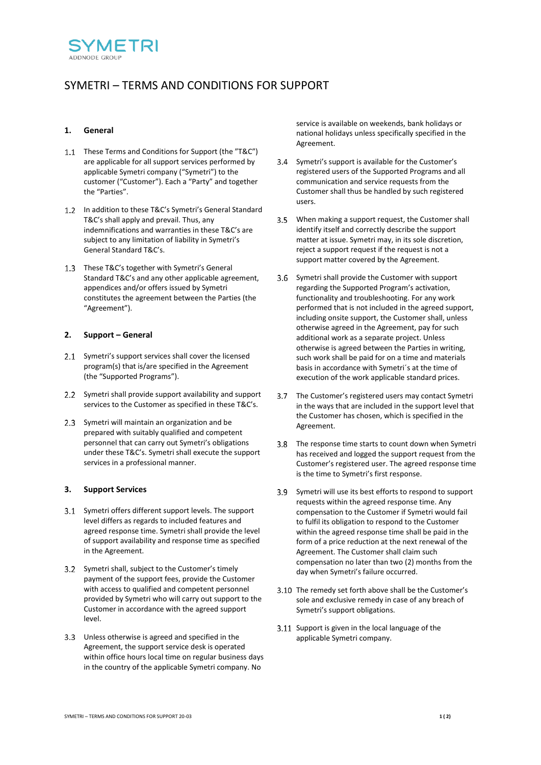

# SYMETRI – TERMS AND CONDITIONS FOR SUPPORT

# **1. General**

- 1.1 These Terms and Conditions for Support (the "T&C") are applicable for all support services performed by applicable Symetri company ("Symetri") to the customer ("Customer"). Each a "Party" and together the "Parties".
- In addition to these T&C's Symetri's General Standard T&C's shall apply and prevail. Thus, any indemnifications and warranties in these T&C's are subject to any limitation of liability in Symetri's General Standard T&C's.
- 1.3 These T&C's together with Symetri's General Standard T&C's and any other applicable agreement, appendices and/or offers issued by Symetri constitutes the agreement between the Parties (the "Agreement").

## **2. Support – General**

- 2.1 Symetri's support services shall cover the licensed program(s) that is/are specified in the Agreement (the "Supported Programs").
- 2.2 Symetri shall provide support availability and support services to the Customer as specified in these T&C's.
- 2.3 Symetri will maintain an organization and be prepared with suitably qualified and competent personnel that can carry out Symetri's obligations under these T&C's. Symetri shall execute the support services in a professional manner.

## **3. Support Services**

- Symetri offers different support levels. The support level differs as regards to included features and agreed response time. Symetri shall provide the level of support availability and response time as specified in the Agreement.
- Symetri shall, subject to the Customer's timely payment of the support fees, provide the Customer with access to qualified and competent personnel provided by Symetri who will carry out support to the Customer in accordance with the agreed support level.
- Unless otherwise is agreed and specified in the Agreement, the support service desk is operated within office hours local time on regular business days in the country of the applicable Symetri company. No

service is available on weekends, bank holidays or national holidays unless specifically specified in the Agreement.

- Symetri's support is available for the Customer's registered users of the Supported Programs and all communication and service requests from the Customer shall thus be handled by such registered users.
- 3.5 When making a support request, the Customer shall identify itself and correctly describe the support matter at issue. Symetri may, in its sole discretion, reject a support request if the request is not a support matter covered by the Agreement.
- Symetri shall provide the Customer with support regarding the Supported Program's activation, functionality and troubleshooting. For any work performed that is not included in the agreed support, including onsite support, the Customer shall, unless otherwise agreed in the Agreement, pay for such additional work as a separate project. Unless otherwise is agreed between the Parties in writing, such work shall be paid for on a time and materials basis in accordance with Symetri´s at the time of execution of the work applicable standard prices.
- The Customer's registered users may contact Symetri  $37$ in the ways that are included in the support level that the Customer has chosen, which is specified in the Agreement.
- 3.8 The response time starts to count down when Symetri has received and logged the support request from the Customer's registered user. The agreed response time is the time to Symetri's first response.
- Symetri will use its best efforts to respond to support requests within the agreed response time. Any compensation to the Customer if Symetri would fail to fulfil its obligation to respond to the Customer within the agreed response time shall be paid in the form of a price reduction at the next renewal of the Agreement. The Customer shall claim such compensation no later than two (2) months from the day when Symetri's failure occurred.
- 3.10 The remedy set forth above shall be the Customer's sole and exclusive remedy in case of any breach of Symetri's support obligations.
- 3.11 Support is given in the local language of the applicable Symetri company.